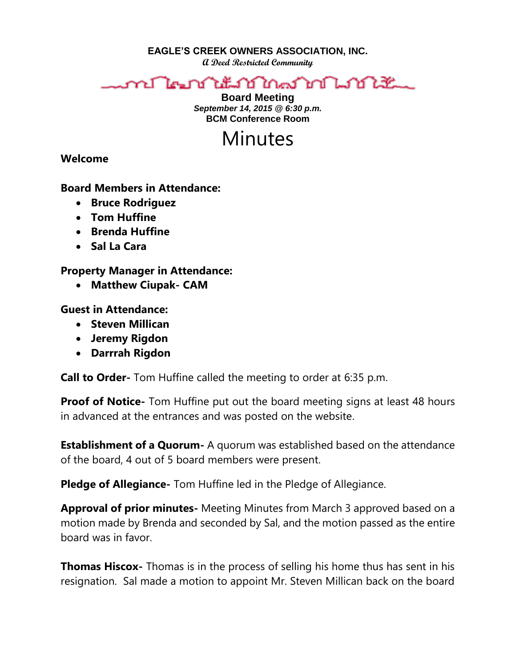**EAGLE'S CREEK OWNERS ASSOCIATION, INC.**

**A Deed Restricted Community**

## าป ใคมบำให้มาบำไทคมำเป็นได้รับ

**Board Meeting** *September 14, 2015 @ 6:30 p.m.* **BCM Conference Room**

## Minutes

**Welcome** 

**Board Members in Attendance:** 

- **Bruce Rodriguez**
- **Tom Huffine**
- **Brenda Huffine**
- **Sal La Cara**

**Property Manager in Attendance:**

**Matthew Ciupak- CAM**

**Guest in Attendance:**

- **•** Steven Millican
- **Jeremy Rigdon**
- **Darrrah Rigdon**

**Call to Order-** Tom Huffine called the meeting to order at 6:35 p.m.

**Proof of Notice-** Tom Huffine put out the board meeting signs at least 48 hours in advanced at the entrances and was posted on the website.

**Establishment of a Quorum-** A quorum was established based on the attendance of the board, 4 out of 5 board members were present.

**Pledge of Allegiance-** Tom Huffine led in the Pledge of Allegiance.

**Approval of prior minutes-** Meeting Minutes from March 3 approved based on a motion made by Brenda and seconded by Sal, and the motion passed as the entire board was in favor.

**Thomas Hiscox-** Thomas is in the process of selling his home thus has sent in his resignation. Sal made a motion to appoint Mr. Steven Millican back on the board